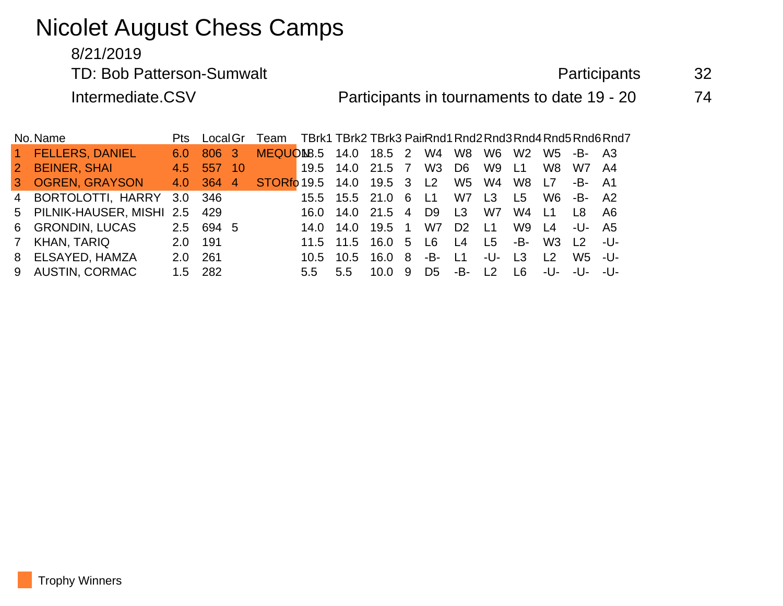# Nicolet August Chess Camps

#### 8/21/2019

TD: Bob Patterson-Sumwalt and a state of the Participants and S2

Intermediate.CSV **Participants in tournaments to date 19 - 20** 74

| No. Name       |                                | Pts           | LocalGr   |                        | Team TBrk1 TBrk2 TBrk3 PairRnd1 Rnd2 Rnd3 Rnd4 Rnd5 Rnd6 Rnd7 |                  |                  |            |                |                |                |                |                |                                  |     |
|----------------|--------------------------------|---------------|-----------|------------------------|---------------------------------------------------------------|------------------|------------------|------------|----------------|----------------|----------------|----------------|----------------|----------------------------------|-----|
|                | 1 FELLERS, DANIEL              | 6.0           | 806 3     |                        | MEQUON8.5 14.0 18.5 2                                         |                  |                  |            | W4             | W8             | W6             | W <sub>2</sub> | W5 l           | -B- A3                           |     |
|                | 2 BEINER, SHAI                 | 4.5           | 557       | <b>10</b>              |                                                               | 19.5 14.0 21.5 7 |                  |            | W3 D6          |                | W9             | $-L1$          | W8             | W7 A4                            |     |
|                | 3 OGREN, GRAYSON               |               | 4.0 364   | $\boldsymbol{\Lambda}$ | STORfo 19.5  14.0  19.5  3  L2                                |                  |                  |            |                | W5             | W4             | W8             | L7             | -B- A1                           |     |
|                | 4 BORTOLOTTI, HARRY 3.0 346    |               |           |                        |                                                               |                  | 15.5 15.5 21.0 6 |            | L1             | W7             | L <sub>3</sub> | L5             |                | W6 -B- A2                        |     |
|                | 5 PILNIK-HAUSER, MISHI 2.5 429 |               |           |                        |                                                               |                  | 16.0 14.0 21.5 4 |            | D9             | L <sub>3</sub> | W7             | W4             | 11             | - I 8                            | A6  |
|                | 6 GRONDIN, LUCAS               |               | 2.5 694 5 |                        |                                                               |                  | 14.0 14.0 19.5 1 |            | W7             | D <sub>2</sub> | L <sub>1</sub> | W9             | $\vert$ 4      | -U- A5                           |     |
| 7 <sup>7</sup> | KHAN, TARIQ                    | 2.0           | 191       |                        |                                                               |                  | 11.5 11.5 16.0 5 |            | L6             | L4             | L5             | -B-1           | W3             | $\begin{array}{c} \n\end{array}$ | -U- |
|                | 8 ELSAYED, HAMZA               | $2.0^{\circ}$ | 261       |                        |                                                               | 10.5             | 10.5             | 16.0 8     | -B-            | L1             | -U-            | $\mathsf{L}3$  | $\overline{2}$ | W5 -U-                           |     |
|                | 9 AUSTIN, CORMAC               |               | 1.5 282   |                        |                                                               | 5.5              | $5.5^{\circ}$    | $10.0 \t9$ | D <sub>5</sub> | -B-            | $\vert$   2    | 1 R            | $-1$ J-        | $-1$ $-1$ $-1$ $-1$              |     |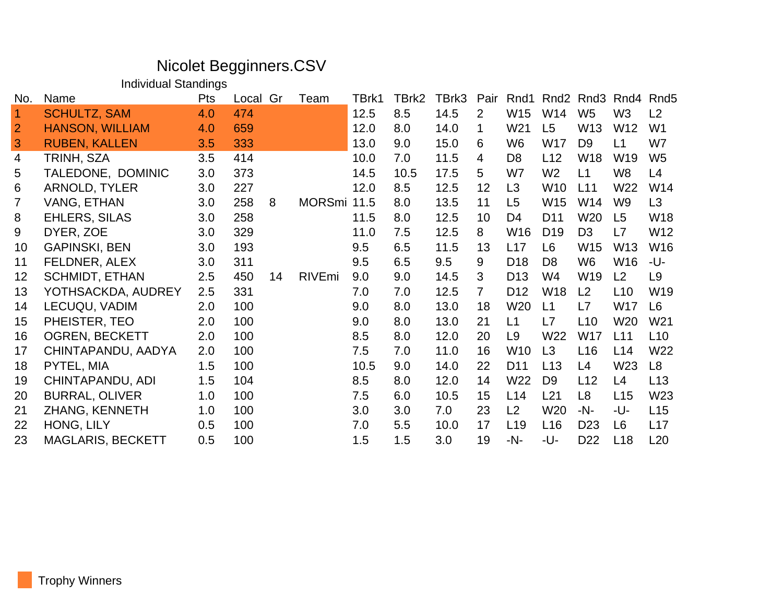## Nicolet Begginners.CSV

Individual Standings

| No.            | Name                     | <b>Pts</b> | Local | Gr | Team          | TBrk1 | TBrk2 | TBrk3 | Pair           | Rnd1            | Rnd <sub>2</sub> | Rnd3            | Rnd4            | Rnd <sub>5</sub> |
|----------------|--------------------------|------------|-------|----|---------------|-------|-------|-------|----------------|-----------------|------------------|-----------------|-----------------|------------------|
| $\overline{1}$ | <b>SCHULTZ, SAM</b>      | 4.0        | 474   |    |               | 12.5  | 8.5   | 14.5  | 2              | W15             | W14              | W <sub>5</sub>  | W <sub>3</sub>  | L <sub>2</sub>   |
| 2              | <b>HANSON, WILLIAM</b>   | 4.0        | 659   |    |               | 12.0  | 8.0   | 14.0  | 1              | W21             | L5               | W <sub>13</sub> | W12             | W <sub>1</sub>   |
| 3              | <b>RUBEN, KALLEN</b>     | 3.5        | 333   |    |               | 13.0  | 9.0   | 15.0  | 6              | W <sub>6</sub>  | W17              | D <sub>9</sub>  | L1              | W7               |
| 4              | TRINH, SZA               | 3.5        | 414   |    |               | 10.0  | 7.0   | 11.5  | 4              | D <sub>8</sub>  | L12              | W18             | W19             | W <sub>5</sub>   |
| 5              | TALEDONE, DOMINIC        | 3.0        | 373   |    |               | 14.5  | 10.5  | 17.5  | 5              | W7              | W <sub>2</sub>   | L1              | W8              | L4               |
| 6              | <b>ARNOLD, TYLER</b>     | 3.0        | 227   |    |               | 12.0  | 8.5   | 12.5  | 12             | L3              | W <sub>10</sub>  | L11             | W22             | W14              |
| $\overline{7}$ | VANG, ETHAN              | 3.0        | 258   | 8  | <b>MORSmi</b> | 11.5  | 8.0   | 13.5  | 11             | L5              | W15              | W14             | W9              | L <sub>3</sub>   |
| 8              | <b>EHLERS, SILAS</b>     | 3.0        | 258   |    |               | 11.5  | 8.0   | 12.5  | 10             | D4              | D <sub>11</sub>  | W20             | L5              | W18              |
| 9              | DYER, ZOE                | 3.0        | 329   |    |               | 11.0  | 7.5   | 12.5  | 8              | W16             | D <sub>19</sub>  | D <sub>3</sub>  | L7              | W12              |
| 10             | <b>GAPINSKI, BEN</b>     | 3.0        | 193   |    |               | 9.5   | 6.5   | 11.5  | 13             | L17             | L <sub>6</sub>   | W15             | W <sub>13</sub> | W16              |
| 11             | FELDNER, ALEX            | 3.0        | 311   |    |               | 9.5   | 6.5   | 9.5   | 9              | D <sub>18</sub> | D <sub>8</sub>   | W <sub>6</sub>  | W16             | -U-              |
| 12             | <b>SCHMIDT, ETHAN</b>    | 2.5        | 450   | 14 | RIVEmi        | 9.0   | 9.0   | 14.5  | 3              | D <sub>13</sub> | W4               | W19             | L2              | L <sub>9</sub>   |
| 13             | YOTHSACKDA, AUDREY       | 2.5        | 331   |    |               | 7.0   | 7.0   | 12.5  | $\overline{7}$ | D <sub>12</sub> | <b>W18</b>       | L2              | L10             | W19              |
| 14             | LECUQU, VADIM            | 2.0        | 100   |    |               | 9.0   | 8.0   | 13.0  | 18             | W <sub>20</sub> | L1               | L7              | <b>W17</b>      | L <sub>6</sub>   |
| 15             | PHEISTER, TEO            | 2.0        | 100   |    |               | 9.0   | 8.0   | 13.0  | 21             | L1              | L7               | L10             | W20             | W <sub>21</sub>  |
| 16             | <b>OGREN, BECKETT</b>    | 2.0        | 100   |    |               | 8.5   | 8.0   | 12.0  | 20             | L <sub>9</sub>  | W22              | <b>W17</b>      | L11             | L10              |
| 17             | CHINTAPANDU, AADYA       | 2.0        | 100   |    |               | 7.5   | 7.0   | 11.0  | 16             | W10             | L3               | L16             | L14             | W22              |
| 18             | PYTEL, MIA               | 1.5        | 100   |    |               | 10.5  | 9.0   | 14.0  | 22             | D <sub>11</sub> | L13              | L4              | W23             | L <sub>8</sub>   |
| 19             | CHINTAPANDU, ADI         | 1.5        | 104   |    |               | 8.5   | 8.0   | 12.0  | 14             | W22             | D <sub>9</sub>   | L12             | L4              | L13              |
| 20             | <b>BURRAL, OLIVER</b>    | 1.0        | 100   |    |               | 7.5   | 6.0   | 10.5  | 15             | L14             | L21              | L <sub>8</sub>  | L15             | W23              |
| 21             | ZHANG, KENNETH           | 1.0        | 100   |    |               | 3.0   | 3.0   | 7.0   | 23             | L2              | W20              | $-N-$           | -U-             | L15              |
| 22             | HONG, LILY               | 0.5        | 100   |    |               | 7.0   | 5.5   | 10.0  | 17             | L <sub>19</sub> | L16              | D <sub>23</sub> | L <sub>6</sub>  | L17              |
| 23             | <b>MAGLARIS, BECKETT</b> | 0.5        | 100   |    |               | 1.5   | 1.5   | 3.0   | 19             | -N-             | -U-              | D <sub>22</sub> | L18             | L20              |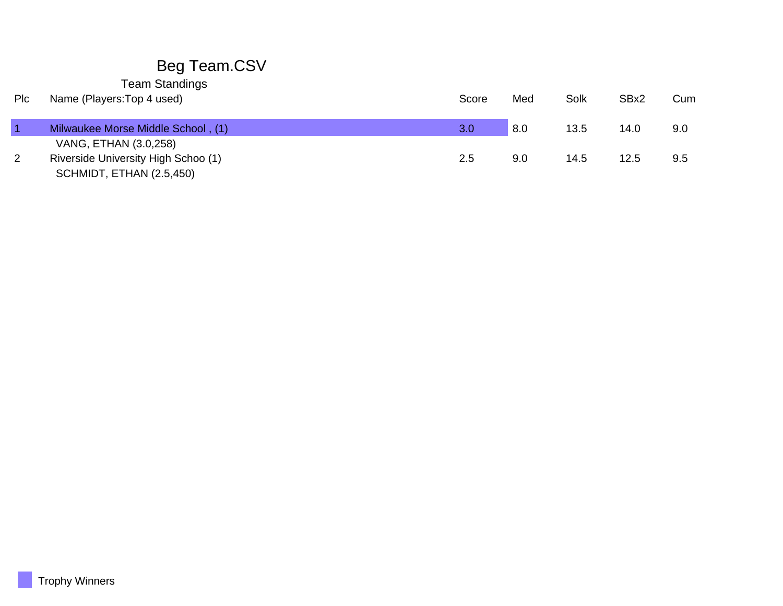## Beg Team.CSV

Team Standings

| <b>PIC</b> | Name (Players: Top 4 used)          | Score | Med | Solk | SBx2 | Cum |
|------------|-------------------------------------|-------|-----|------|------|-----|
|            | Milwaukee Morse Middle School, (1)  | 3.0   | 8.0 | 13.5 | 14.0 | 9.0 |
|            | VANG, ETHAN (3.0,258)               |       |     |      |      |     |
| 2          | Riverside University High Schoo (1) | 2.5   | 9.0 | 14.5 | 12.5 | 9.5 |
|            | SCHMIDT, ETHAN (2.5,450)            |       |     |      |      |     |